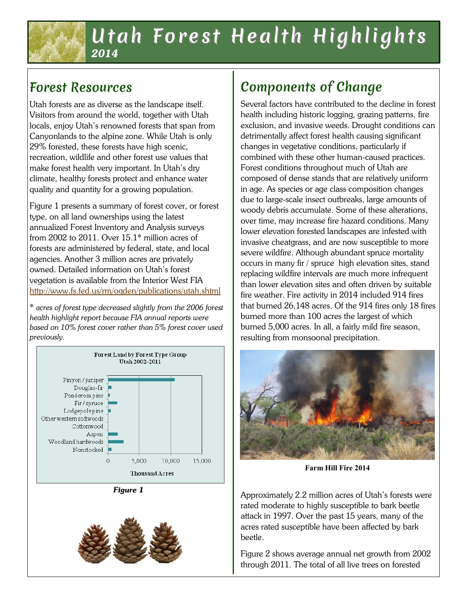### Utah Forest Health Highlights *2014*

## Forest Resources

Utah forests are as diverse as the landscape itself. Visitors from around the world, together with Utah locals, enjoy Utah's renowned forests that span from Canyonlands to the alpine zone. While Utah is only 29% forested, these forests have high scenic, recreation, wildlife and other forest use values that make forest health very important. In Utah's dry climate, healthy forests protect and enhance water quality and quantity for a growing population.

Figure 1 presents a summary of forest cover, or forest type, on all land ownerships using the latest annualized Forest Inventory and Analysis surveys from 2002 to 2011. Over 15.1\* million acres of forests are administered by federal, state, and local agencies. Another 3 million acres are privately owned. Detailed information on Utah's forest vegetation is available from the Interior West FIA <http://www.fs.fed.us/rm/ogden/publications/utah.shtml>

\* *acres of forest type decreased slightly from the 2006 forest health highlight report because FIA annual reports were based on 10% forest cover rather than 5% forest cover used previously.*



*Figure 1*



# Components of Change

Several factors have contributed to the decline in forest health including historic logging, grazing patterns, fire exclusion, and invasive weeds. Drought conditions can detrimentally affect forest health causing significant changes in vegetative conditions, particularly if combined with these other human-caused practices. Forest conditions throughout much of Utah are composed of dense stands that are relatively uniform in age. As species or age class composition changes due to large-scale insect outbreaks, large amounts of woody debris accumulate. Some of these alterations, over time, may increase fire hazard conditions. Many lower elevation forested landscapes are infested with invasive cheatgrass, and are now susceptible to more severe wildfire. Although abundant spruce mortality occurs in many fir / spruce high elevation sites, stand replacing wildfire intervals are much more infrequent than lower elevation sites and often driven by suitable fire weather. Fire activity in 2014 included 914 fires that burned 26,148 acres. Of the 914 fires only 18 fires burned more than 100 acres the largest of which burned 5,000 acres. In all, a fairly mild fire season, resulting from monsoonal precipitation.



**Farm Hill Fire 2014**

Approximately 2.2 million acres of Utah's forests were rated moderate to highly susceptible to bark beetle attack in 1997. Over the past 15 years, many of the acres rated susceptible have been affected by bark beetle.

Figure 2 shows average annual net growth from 2002 through 2011. The total of all live trees on forested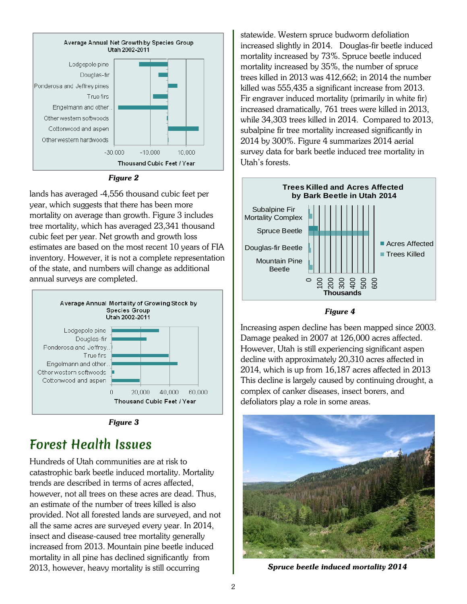



lands has averaged -4,556 thousand cubic feet per year, which suggests that there has been more mortality on average than growth. Figure 3 includes tree mortality, which has averaged 23,341 thousand cubic feet per year. Net growth and growth loss estimates are based on the most recent 10 years of FIA inventory. However, it is not a complete representation of the state, and numbers will change as additional annual surveys are completed.





#### Forest Health Issues

Hundreds of Utah communities are at risk to catastrophic bark beetle induced mortality. Mortality trends are described in terms of acres affected, however, not all trees on these acres are dead. Thus, an estimate of the number of trees killed is also provided. Not all forested lands are surveyed, and not all the same acres are surveyed every year. In 2014, insect and disease-caused tree mortality generally increased from 2013. Mountain pine beetle induced mortality in all pine has declined significantly from 2013, however, heavy mortality is still occurring

statewide. Western spruce budworm defoliation increased slightly in 2014. Douglas-fir beetle induced mortality increased by 73%. Spruce beetle induced mortality increased by 35%, the number of spruce trees killed in 2013 was 412,662; in 2014 the number killed was 555,435 a significant increase from 2013. Fir engraver induced mortality (primarily in white fir) increased dramatically, 761 trees were killed in 2013, while 34,303 trees killed in 2014. Compared to 2013, subalpine fir tree mortality increased significantly in 2014 by 300%. Figure 4 summarizes 2014 aerial survey data for bark beetle induced tree mortality in Utah's forests.



#### *Figure 4*

Increasing aspen decline has been mapped since 2003. Damage peaked in 2007 at 126,000 acres affected. However, Utah is still experiencing significant aspen decline with approximately 20,310 acres affected in 2014, which is up from 16,187 acres affected in 2013 This decline is largely caused by continuing drought, a complex of canker diseases, insect borers, and defoliators play a role in some areas.



*Spruce beetle induced mortality 2014*